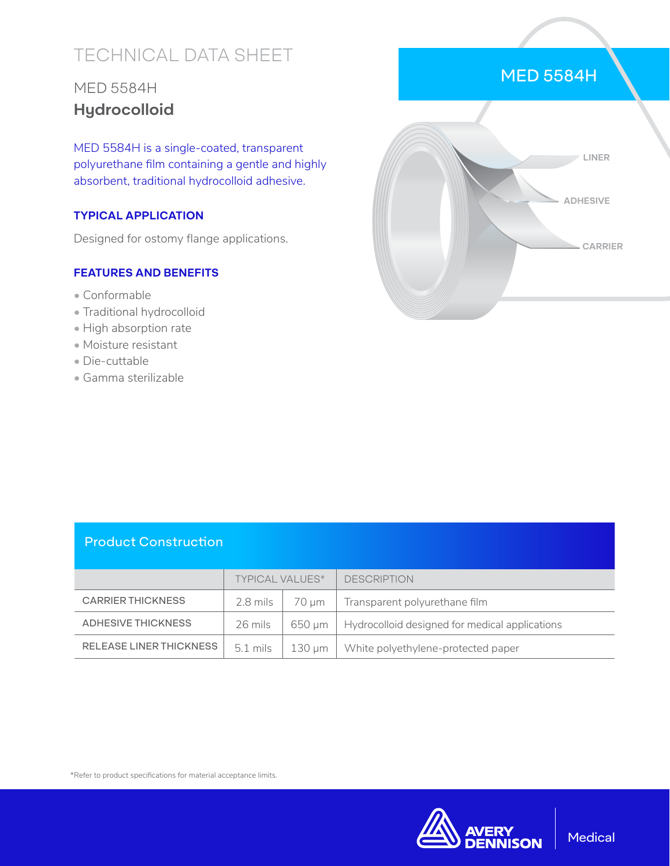# TECHNICAL DATA SHEET

## MED 5584H **Hydrocolloid**

MED 5584H is a single-coated, transparent polyurethane film containing a gentle and highly absorbent, traditional hydrocolloid adhesive.

#### **TYPICAL APPLICATION**

Designed for ostomy flange applications.

#### **FEATURES AND BENEFITS**

- Conformable
- Traditional hydrocolloid
- High absorption rate
- Moisture resistant
- Die-cuttable
- Gamma sterilizable



#### Product Construction

|                                | <b>TYPICAL VALUES*</b> |        | <b>DESCRIPTION</b>                             |
|--------------------------------|------------------------|--------|------------------------------------------------|
| <b>CARRIER THICKNESS</b>       | 2.8 mils               | 70 um  | Transparent polyurethane film                  |
| ADHESIVE THICKNESS             | 26 mils                | 650 um | Hydrocolloid designed for medical applications |
| <b>RELEASE LINER THICKNESS</b> | $5.1 \text{ miles}$    | 130 µm | White polyethylene-protected paper             |